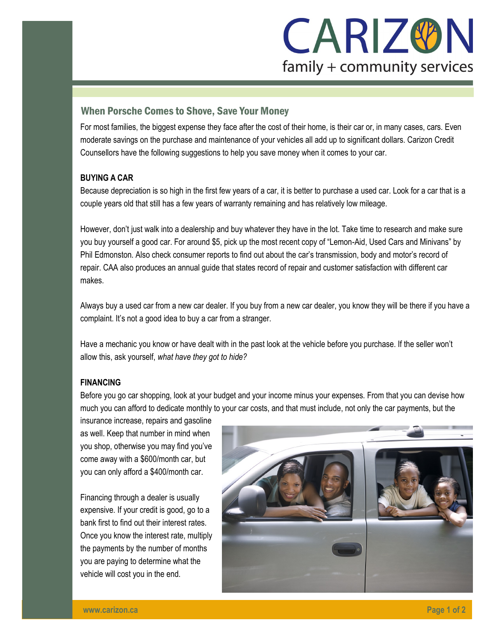

# When Porsche Comes to Shove, Save Your Money

For most families, the biggest expense they face after the cost of their home, is their car or, in many cases, cars. Even moderate savings on the purchase and maintenance of your vehicles all add up to significant dollars. Carizon Credit Counsellors have the following suggestions to help you save money when it comes to your car.

## **BUYING A CAR**

Because depreciation is so high in the first few years of a car, it is better to purchase a used car. Look for a car that is a couple years old that still has a few years of warranty remaining and has relatively low mileage.

However, don't just walk into a dealership and buy whatever they have in the lot. Take time to research and make sure you buy yourself a good car. For around \$5, pick up the most recent copy of "Lemon-Aid, Used Cars and Minivans" by Phil Edmonston. Also check consumer reports to find out about the car's transmission, body and motor's record of repair. CAA also produces an annual guide that states record of repair and customer satisfaction with different car makes.

Always buy a used car from a new car dealer. If you buy from a new car dealer, you know they will be there if you have a complaint. It's not a good idea to buy a car from a stranger.

Have a mechanic you know or have dealt with in the past look at the vehicle before you purchase. If the seller won't allow this, ask yourself, *what have they got to hide?*

## **FINANCING**

Before you go car shopping, look at your budget and your income minus your expenses. From that you can devise how much you can afford to dedicate monthly to your car costs, and that must include, not only the car payments, but the

insurance increase, repairs and gasoline as well. Keep that number in mind when you shop, otherwise you may find you've come away with a \$600/month car, but you can only afford a \$400/month car.

Financing through a dealer is usually expensive. If your credit is good, go to a bank first to find out their interest rates. Once you know the interest rate, multiply the payments by the number of months you are paying to determine what the vehicle will cost you in the end.